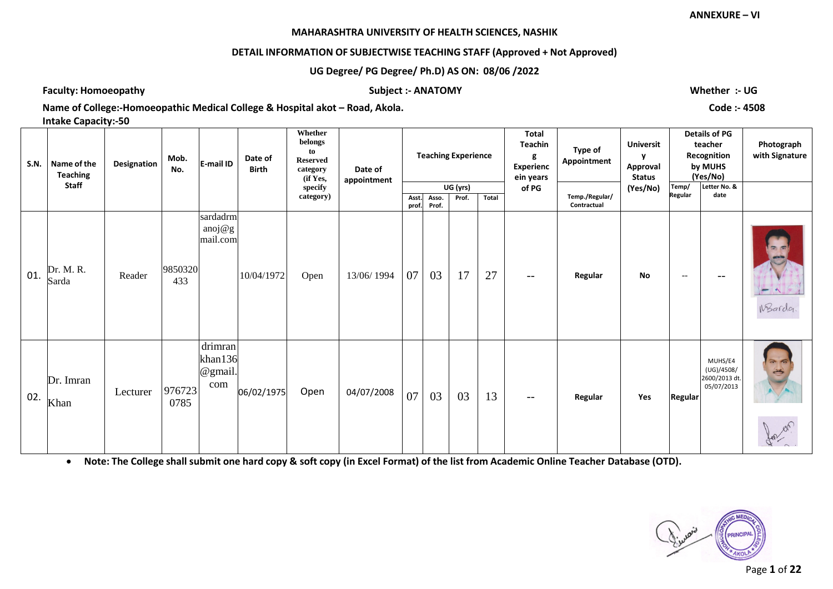# **DETAIL INFORMATION OF SUBJECTWISE TEACHING STAFF (Approved + Not Approved)**

# **UG Degree/ PG Degree/ Ph.D) AS ON: 08/06 /2022**

**Faculty: Homoeopathy Subject :- ANATOMY Whether :- UG**

**Name of College:-Homoeopathic Medical College & Hospital akot – Road, Akola. Code :- 4508** 

**Intake Capacity:-50**

| <b>S.N.</b> | Name of the<br><b>Teaching</b> | Designation | Mob.<br>No.    | E-mail ID                            | Date of<br><b>Birth</b> | Whether<br>belongs<br>to<br><b>Reserved</b><br>category<br>(if Yes, | Date of<br>appointment |                |                | <b>Teaching Experience</b> |       | <b>Total</b><br>Teachin<br>g<br><b>Experienc</b><br>ein years | Type of<br>Appointment        | <b>Universit</b><br>y<br>Approval<br><b>Status</b> |                         | <b>Details of PG</b><br>teacher<br>Recognition<br>by MUHS<br>(Yes/No) | Photograph<br>with Signature                 |
|-------------|--------------------------------|-------------|----------------|--------------------------------------|-------------------------|---------------------------------------------------------------------|------------------------|----------------|----------------|----------------------------|-------|---------------------------------------------------------------|-------------------------------|----------------------------------------------------|-------------------------|-----------------------------------------------------------------------|----------------------------------------------|
|             | <b>Staff</b>                   |             |                |                                      |                         | specify<br>category)                                                |                        | Asst.<br>prof. | Asso.<br>Prof. | UG (yrs)<br>Prof.          | Total | of PG                                                         | Temp./Regular/<br>Contractual | (Yes/No)                                           | Temp/<br><b>Regular</b> | Letter No. &<br>date                                                  |                                              |
| 01.         | Dr. M. R.<br>Sarda             | Reader      | 9850320<br>433 | sardadrm<br>anoj $@g$<br>mail.com    | 10/04/1972              | Open                                                                | 13/06/1994             | 07             | 03             | 17                         | 27    | $- -$                                                         | Regular                       | <b>No</b>                                          | $--$                    |                                                                       | $\Rightarrow$<br>entity of<br>WBarda         |
| 02.         | Dr. Imran<br>Khan              | Lecturer    | 976723<br>0785 | drimran<br>khan136<br>@gmail.<br>com | 06/02/1975              | Open                                                                | 04/07/2008             | 07             | 03             | 03                         | 13    | $--$                                                          | Regular                       | Yes                                                | Regular                 | MUHS/E4<br>(UG)/4508/<br>2600/2013 dt.<br>05/07/2013                  | $\rightarrow$ $\sim$<br>$\frac{1}{\sqrt{2}}$ |

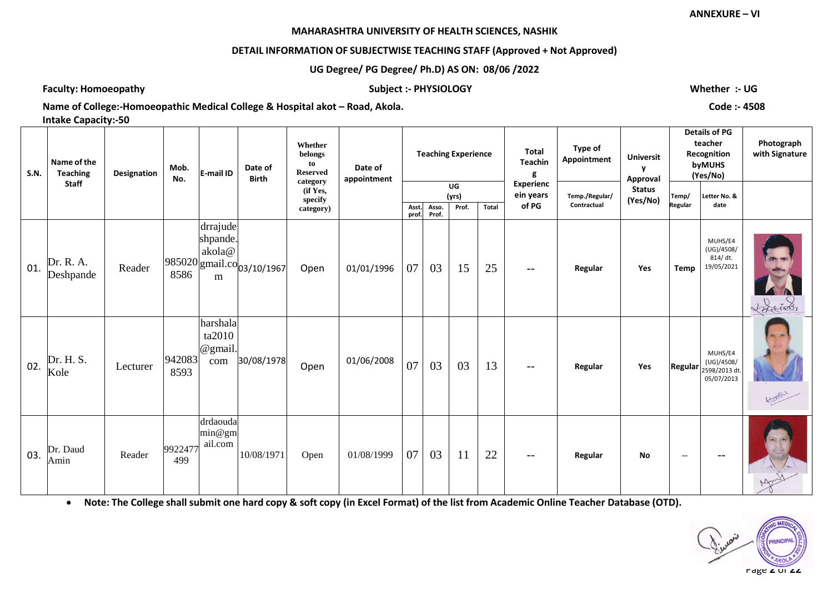# **DETAIL INFORMATION OF SUBJECTWISE TEACHING STAFF (Approved + Not Approved)**

**UG Degree/ PG Degree/ Ph.D) AS ON: 08/06 /2022**

**Faculty: Homoeopathy Subject :- PHYSIOLOGY Whether :- UG**

**Name of College:-Homoeopathic Medical College & Hospital akot – Road, Akola. Code :- 4508 Intake Capacity:-50**

| <b>S.N.</b> | Name of the<br><b>Teaching</b> | Designation | Mob.<br>No.    | E-mail ID                                   | Date of<br><b>Birth</b>    | Whether<br>belongs<br>to<br><b>Reserved</b><br>category | Date of<br>appointment |             |             | <b>Teaching Experience</b> |       | <b>Total</b><br>Teachin<br>g           | Type of<br>Appointment        | <b>Universit</b><br>v<br>Approval |                  | <b>Details of PG</b><br>teacher<br>Recognition<br>byMUHS<br>(Yes/No) | Photograph<br>with Signature |
|-------------|--------------------------------|-------------|----------------|---------------------------------------------|----------------------------|---------------------------------------------------------|------------------------|-------------|-------------|----------------------------|-------|----------------------------------------|-------------------------------|-----------------------------------|------------------|----------------------------------------------------------------------|------------------------------|
|             | <b>Staff</b>                   |             |                |                                             |                            | (if Yes,<br>specify<br>category)                        |                        | Asst.       | Asso.       | UG<br>(yrs)<br>Prof.       | Total | <b>Experienc</b><br>ein years<br>of PG | Temp./Regular/<br>Contractual | <b>Status</b><br>(Yes/No)         | Temp/<br>Regular | Letter No. &<br>date                                                 |                              |
| 01.         | Dr. R. A.<br>Deshpande         | Reader      | 8586           | drrajude<br>shpande.<br>akola@<br>${\bf m}$ | 985020 gmail.co 03/10/1967 | Open                                                    | 01/01/1996             | prof.<br>07 | Prof.<br>03 | 15                         | 25    | $- -$                                  | Regular                       | Yes                               | <b>Temp</b>      | MUHS/E4<br>(UG)/4508/<br>814/dt.<br>19/05/2021                       | <b>CPL 960</b><br>Vocenson   |
| 02.         | Dr. H. S.<br>Kole              | Lecturer    | 942083<br>8593 | harshala<br>ta2010<br>@gmail.<br>com        | 30/08/1978                 | Open                                                    | 01/06/2008             | 07          | 03          | 03                         | 13    | $- -$                                  | Regular                       | Yes                               | Regular          | MUHS/E4<br>(UG)/4508/<br>2598/2013 dt<br>05/07/2013                  | Hoor                         |
| 03.         | Dr. Daud<br>Amin               | Reader      | 9922477<br>499 | drdaouda<br>min@gm<br>ail.com               | 10/08/1971                 | Open                                                    | 01/08/1999             | 07          | 03          | 11                         | 22    | $- -$                                  | Regular                       | <b>No</b>                         | $--$             | $ -$                                                                 |                              |

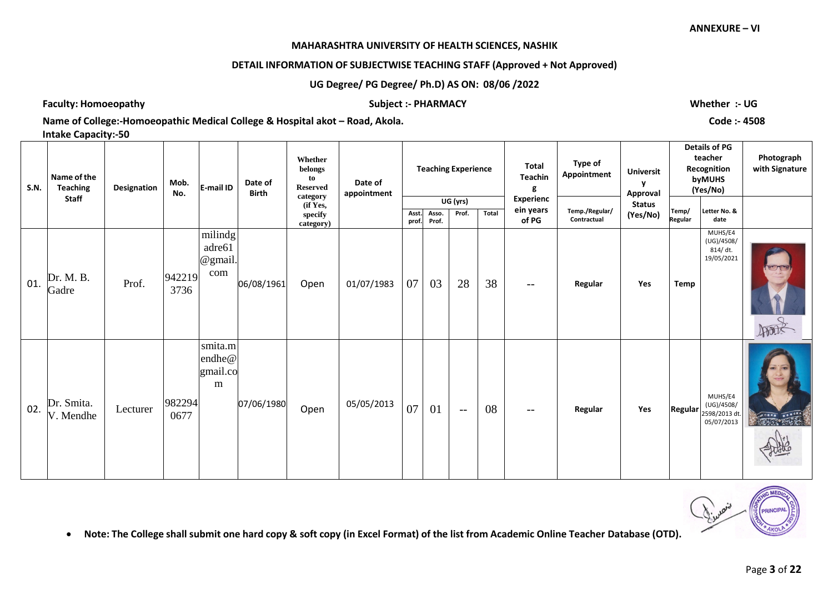## **MAHARASHTRA UNIVERSITY OF HEALTH SCIENCES, NASHIK**

# **DETAIL INFORMATION OF SUBJECTWISE TEACHING STAFF (Approved + Not Approved)**

# **UG Degree/ PG Degree/ Ph.D) AS ON: 08/06 /2022**

**Faculty: Homoeopathy Subject :- PHARMACY Whether :- UG**

**Name of College:-Homoeopathic Medical College & Hospital akot – Road, Akola. Code :- 4508** 

**Intake Capacity:-50**

| <b>S.N.</b> | Name of the<br><b>Teaching</b> | Designation | Mob.<br>No.    | E-mail ID                           | Date of<br><b>Birth</b> | Whether<br>belongs<br>to<br><b>Reserved</b><br>category | Date of<br>appointment |               |       | <b>Teaching Experience</b> |       | <b>Total</b><br><b>Teachin</b><br>g | Type of<br>Appointment | <b>Universit</b><br>v<br>Approval |         | <b>Details of PG</b><br>teacher<br>Recognition<br>byMUHS<br>(Yes/No) | Photograph<br>with Signature |
|-------------|--------------------------------|-------------|----------------|-------------------------------------|-------------------------|---------------------------------------------------------|------------------------|---------------|-------|----------------------------|-------|-------------------------------------|------------------------|-----------------------------------|---------|----------------------------------------------------------------------|------------------------------|
|             | <b>Staff</b>                   |             |                |                                     |                         | (if Yes,                                                |                        |               | Asso. | UG (yrs)<br>Prof.          | Total | <b>Experienc</b><br>ein years       | Temp./Regular/         | <b>Status</b>                     | Temp/   | Letter No. &                                                         |                              |
|             |                                |             |                |                                     |                         | specify<br>category)                                    |                        | Asst<br>prof. | Prof. |                            |       | of PG                               | Contractual            | (Yes/No)                          | Regular | date                                                                 |                              |
| 01.         | Dr. M. B.<br>Gadre             | Prof.       | 942219<br>3736 | milindg<br>adre61<br>@gmail.<br>com | 06/08/1961              | Open                                                    | 01/07/1983             | 07            | 03    | 28                         | 38    | $\qquad \qquad -$                   | Regular                | Yes                               | Temp    | MUHS/E4<br>(UG)/4508/<br>814/dt.<br>19/05/2021                       | 服                            |
| 02.         | Dr. Smita.<br>V. Mendhe        | Lecturer    | 982294<br>0677 | smita.m<br>endhe@<br>gmail.co<br>m  | 07/06/1980              | Open                                                    | 05/05/2013             | 07            | 01    | $-$                        | 08    | --                                  | Regular                | Yes                               |         | MUHS/E4<br>(UG)/4508/<br>Regular 2598/2013 dt.<br>05/07/2013         | <b>READY THE READ</b>        |

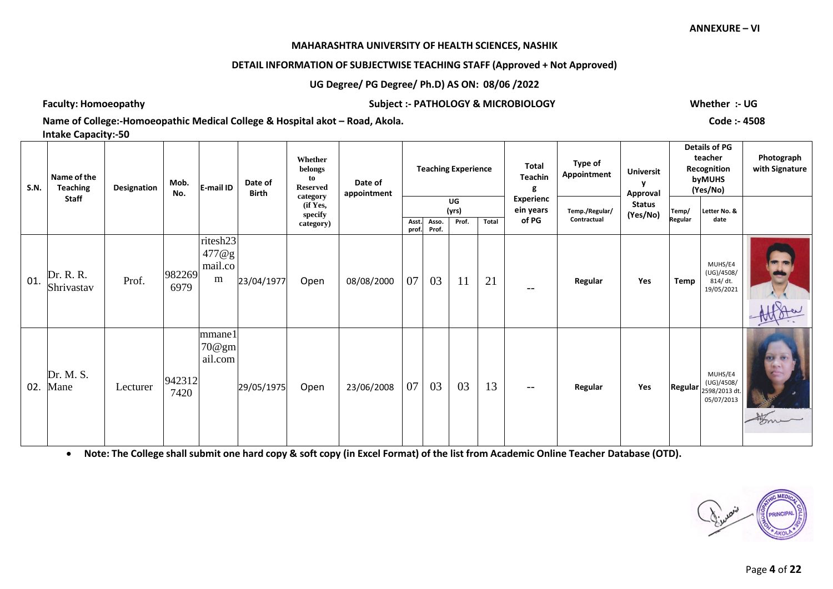#### **MAHARASHTRA UNIVERSITY OF HEALTH SCIENCES, NASHIK**

# **DETAIL INFORMATION OF SUBJECTWISE TEACHING STAFF (Approved + Not Approved)**

# **UG Degree/ PG Degree/ Ph.D) AS ON: 08/06 /2022**

**Faculty: Homoeopathy Subject :- PATHOLOGY & MICROBIOLOGY Whether :- UG**

**Name of College:-Homoeopathic Medical College & Hospital akot – Road, Akola. Code :- 4508** 

**Intake Capacity:-50**

| <b>S.N.</b> | Name of the<br><b>Teaching</b> | Designation | Mob.<br>No.    | E-mail ID                                 | Date of<br>Birth | Whether<br>belongs<br>to<br><b>Reserved</b>  | Date of<br>appointment |               |                | <b>Teaching Experience</b> |       | Total<br><b>Teachin</b>                | Type of<br>Appointment        | <b>Universit</b><br>Approval |                  | <b>Details of PG</b><br>teacher<br>Recognition<br>byMUHS<br>(Yes/No)                                              | Photograph<br>with Signature |
|-------------|--------------------------------|-------------|----------------|-------------------------------------------|------------------|----------------------------------------------|------------------------|---------------|----------------|----------------------------|-------|----------------------------------------|-------------------------------|------------------------------|------------------|-------------------------------------------------------------------------------------------------------------------|------------------------------|
|             | <b>Staff</b>                   |             |                |                                           |                  | category<br>(if Yes,<br>specify<br>category) |                        | Asst<br>prof. | Asso.<br>Prof. | UG<br>(yrs)<br>Prof.       | Total | <b>Experienc</b><br>ein years<br>of PG | Temp./Regular/<br>Contractual | <b>Status</b><br>(Yes/No)    | Temp/<br>Regular | Letter No. &<br>date                                                                                              |                              |
| 01.         | Dr. R. R.<br>Shrivastav        | Prof.       | 982269<br>6979 | ritesh23<br>477@g<br>mail.co<br>${\bf m}$ | 23/04/1977       | Open                                         | 08/08/2000             | 07            | 03             | 11                         | 21    | $- -$                                  | Regular                       | Yes                          | Temp             | MUHS/E4<br>(UG)/4508/<br>814/dt.<br>19/05/2021                                                                    |                              |
| 02.         | Dr. M. S.<br>Mane              | Lecturer    | 942312<br>7420 | mmane1<br>70@gm<br>ail.com                | 29/05/1975       | Open                                         | 23/06/2008             | 07            | 03             | 03                         | 13    | $-\,-$                                 | Regular                       | Yes                          |                  | MUHS/E4<br>(UG)/4508/<br><b>Regular</b> $\begin{vmatrix} 1 & 0 & 0 \\ 2598/2013 & dt \end{vmatrix}$<br>05/07/2013 | $\frac{4}{3}$                |

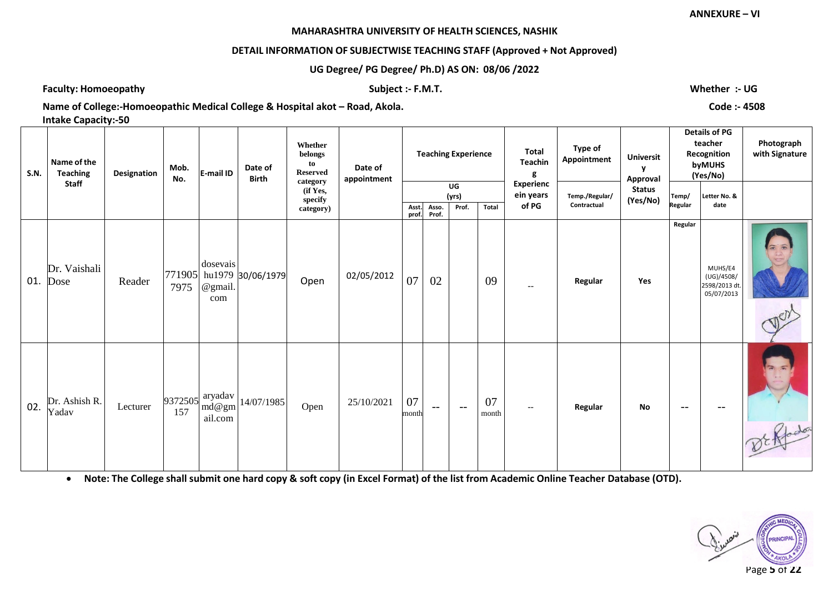## **DETAIL INFORMATION OF SUBJECTWISE TEACHING STAFF (Approved + Not Approved)**

**UG Degree/ PG Degree/ Ph.D) AS ON: 08/06 /2022**

**Faculty: Homoeopathy Subject :- F.M.T. Whether :- UG**

**Name of College:-Homoeopathic Medical College & Hospital akot – Road, Akola. Code :- 4508** 

**Intake Capacity:-50**

| <b>S.N.</b> | Name of the<br><b>Teaching</b><br><b>Staff</b> | Designation | Mob.<br>No. | E-mail ID                             | Date of<br><b>Birth</b>  | Whether<br>belongs<br>to<br><b>Reserved</b><br>category | Date of<br>appointment |                |                | <b>Teaching Experience</b> |             | Total<br>Teachin<br>g<br><b>Experienc</b> | Type of<br>Appointment        | <b>Universit</b><br>Approval |                  | <b>Details of PG</b><br>teacher<br>Recognition<br>byMUHS<br>(Yes/No) | Photograph<br>with Signature |
|-------------|------------------------------------------------|-------------|-------------|---------------------------------------|--------------------------|---------------------------------------------------------|------------------------|----------------|----------------|----------------------------|-------------|-------------------------------------------|-------------------------------|------------------------------|------------------|----------------------------------------------------------------------|------------------------------|
|             |                                                |             |             |                                       |                          | (if Yes,<br>specify<br>category)                        |                        | Asst.<br>prof. | Asso.<br>Prof. | UG<br>(yrs)<br>Prof.       | Total       | ein years<br>of PG                        | Temp./Regular/<br>Contractual | <b>Status</b><br>(Yes/No)    | Temp/<br>Regular | Letter No. &<br>date                                                 |                              |
| 01.         | Dr. Vaishali<br>Dose                           | Reader      | 7975        | dosevais<br>@gmail.<br>com            | 771905 hu1979 30/06/1979 | Open                                                    | 02/05/2012             | 07             | 02             |                            | 09          | $--$                                      | Regular                       | Yes                          | Regular          | MUHS/E4<br>(UG)/4508/<br>2598/2013 dt.<br>05/07/2013                 |                              |
| 02.         | Dr. Ashish R.<br>Yadav                         | Lecturer    | 157         | $9372505$ aryadav<br>md@gm<br>ail.com | 14/07/1985               | Open                                                    | 25/10/2021             | 07<br>month    | $--$           | $-$                        | 07<br>month | $--$                                      | Regular                       | <b>No</b>                    | $--$             | $--$                                                                 | DE Rfodos                    |

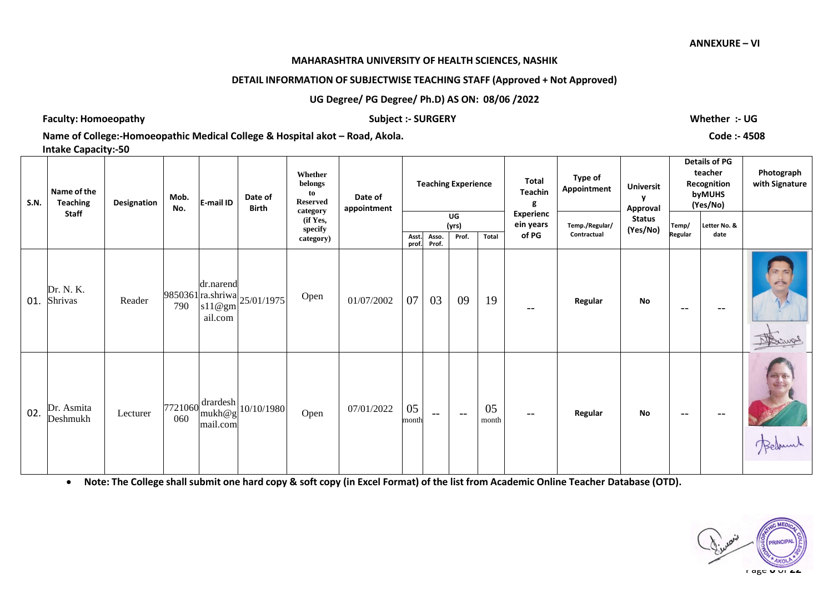### **DETAIL INFORMATION OF SUBJECTWISE TEACHING STAFF (Approved + Not Approved)**

# **UG Degree/ PG Degree/ Ph.D) AS ON: 08/06 /2022**

**Faculty: Homoeopathy Subject :- SURGERY Whether :- UG**

**Name of College:-Homoeopathic Medical College & Hospital akot – Road, Akola. Code :- 4508 Intake Capacity:-50**

| <b>S.N.</b> | Name of the<br><b>Teaching</b> | Designation | Mob.<br>No. | E-mail ID                        | Date of<br><b>Birth</b>                      | Whether<br>belongs<br>to<br><b>Reserved</b>  | Date of<br>appointment |                |                   | <b>Teaching Experience</b> |             | <b>Total</b><br><b>Teachin</b><br>g    | Type of<br>Appointment        | <b>Universit</b><br>v<br>Approval |                  | <b>Details of PG</b><br>teacher<br>Recognition<br>byMUHS<br>(Yes/No) | Photograph<br>with Signature |
|-------------|--------------------------------|-------------|-------------|----------------------------------|----------------------------------------------|----------------------------------------------|------------------------|----------------|-------------------|----------------------------|-------------|----------------------------------------|-------------------------------|-----------------------------------|------------------|----------------------------------------------------------------------|------------------------------|
|             | <b>Staff</b>                   |             |             |                                  |                                              | category<br>(if Yes,<br>specify<br>category) |                        | Asst.<br>prof. | Asso.<br>Prof.    | UG<br>(yrs)<br>Prof.       | Total       | <b>Experienc</b><br>ein years<br>of PG | Temp./Regular/<br>Contractual | <b>Status</b><br>(Yes/No)         | Temp/<br>Regular | Letter No. &<br>date                                                 |                              |
| 01.         | Dr. N. K.<br>Shrivas           | Reader      |             | dr.narend<br>ail.com             | 9850361 ra.shriwa<br>790 $ 11@gm$ 25/01/1975 | Open                                         | 01/07/2002             | 07             | 03                | 09                         | 19          | --                                     | Regular                       | <b>No</b>                         | $--$             | --                                                                   |                              |
| 02.         | Dr. Asmita<br>Deshmukh         | Lecturer    | 060         | $7721060$ drardesh  <br>mail.com | $\mathbb{E}[\text{mukh@g}]$ 10/10/1980       | Open                                         | 07/01/2022             | 05<br>month    | $\qquad \qquad -$ | $\overline{\phantom{a}}$   | 05<br>month | --                                     | Regular                       | <b>No</b>                         | $- -$            |                                                                      |                              |

• Note: The College shall submit one hard copy & soft copy (in Excel Format) of the list from Academic Online Teacher Database (OTD).



**ANNEXURE – VI**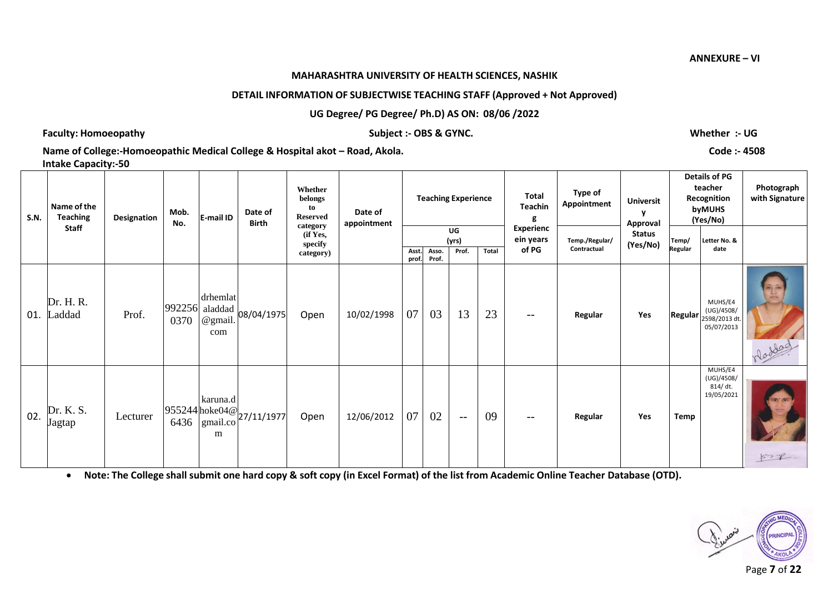#### **MAHARASHTRA UNIVERSITY OF HEALTH SCIENCES, NASHIK**

# **DETAIL INFORMATION OF SUBJECTWISE TEACHING STAFF (Approved + Not Approved)**

**UG Degree/ PG Degree/ Ph.D) AS ON: 08/06 /2022**

# **Faculty: Homoeopathy Subject :- OBS & GYNC. Whether :- UG**

**Name of College:-Homoeopathic Medical College & Hospital akot – Road, Akola. Code :- 4508** 

**Intake Capacity:-50**

| <b>S.N.</b> | Name of the<br><b>Teaching</b> | Designation | Mob.<br>No. | E-mail ID                                    | Date of<br>Birth                                                                               | Whether<br>belongs<br>to<br><b>Reserved</b>  | Date of<br>appointment |               |                | <b>Teaching Experience</b> |              | <b>Total</b><br>Teachin<br>g    | Type of<br>Appointment        | <b>Universit</b><br>Approval |                  | <b>Details of PG</b><br>teacher<br>Recognition<br>byMUHS<br>(Yes/No)  | Photograph<br>with Signature |
|-------------|--------------------------------|-------------|-------------|----------------------------------------------|------------------------------------------------------------------------------------------------|----------------------------------------------|------------------------|---------------|----------------|----------------------------|--------------|---------------------------------|-------------------------------|------------------------------|------------------|-----------------------------------------------------------------------|------------------------------|
|             | <b>Staff</b>                   |             |             |                                              |                                                                                                | category<br>(if Yes,<br>specify<br>category) |                        | Asst<br>prof. | Asso.<br>Prof. | UG<br>(yrs)<br>Prof.       | <b>Total</b> | Experienc<br>ein years<br>of PG | Temp./Regular/<br>Contractual | <b>Status</b><br>(Yes/No)    | Temp/<br>Regular | Letter No. &<br>date                                                  |                              |
| 01.         | Dr. H. R.<br>Laddad            | Prof.       | 0370        | drhemlat<br>992256 aladdad<br>@gmail.<br>com | 08/04/1975                                                                                     | Open                                         | 10/02/1998             | 07            | 03             | 13                         | 23           | $\overline{\phantom{m}}$        | Regular                       | Yes                          |                  | MUHS/E4<br>(UG)/4508/<br><b>Regular</b> $2598/2013$ dt.<br>05/07/2013 | Moddad                       |
| 02.         | Dr. K. S.<br>Jagtap            | Lecturer    |             | karuna.d<br>m                                | $\begin{bmatrix} 955244 \text{ hoke04}\ \hline 6436 \text{ gmail.co} \end{bmatrix}$ 27/11/1977 | Open                                         | 12/06/2012             | 07            | 02             | $---$                      | 09           | $\overline{\phantom{m}}$        | Regular                       | Yes                          | Temp             | MUHS/E4<br>(UG)/4508/<br>814/dt.<br>19/05/2021                        | <b>art</b><br>522            |

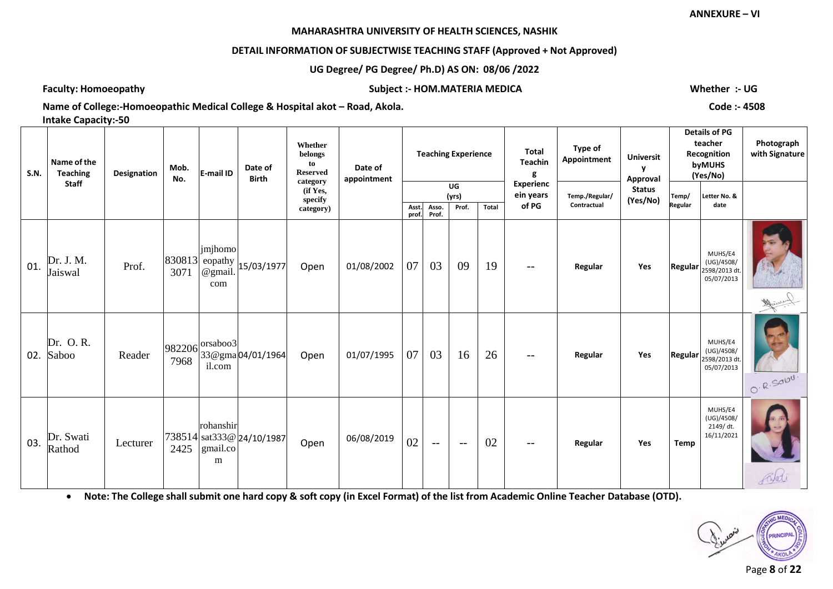# **DETAIL INFORMATION OF SUBJECTWISE TEACHING STAFF (Approved + Not Approved)**

# **UG Degree/ PG Degree/ Ph.D) AS ON: 08/06 /2022**

**Faculty: Homoeopathy Subject :- HOM.MATERIA MEDICA Whether :- UG**

**Name of College:-Homoeopathic Medical College & Hospital akot – Road, Akola. Code :- 4508 Intake Capacity:-50**

| <b>S.N.</b> | Name of the<br><b>Teaching</b> | Designation | Mob.<br>No. | E-mail ID                     | Date of<br><b>Birth</b>           | Whether<br>belongs<br>to<br><b>Reserved</b><br>category | Date of<br>appointment |             |             | <b>Teaching Experience</b> |       | <b>Total</b><br>Teachin<br>g           | Type of<br>Appointment        | <b>Universit</b><br>y<br>Approval |                  | <b>Details of PG</b><br>teacher<br>Recognition<br>byMUHS<br>(Yes/No)  | Photograph<br>with Signature |
|-------------|--------------------------------|-------------|-------------|-------------------------------|-----------------------------------|---------------------------------------------------------|------------------------|-------------|-------------|----------------------------|-------|----------------------------------------|-------------------------------|-----------------------------------|------------------|-----------------------------------------------------------------------|------------------------------|
|             | <b>Staff</b>                   |             |             |                               |                                   | (if Yes,<br>specify<br>category)                        |                        | Asst.       | Asso.       | UG<br>(yrs)<br>Prof.       | Total | <b>Experienc</b><br>ein years<br>of PG | Temp./Regular/<br>Contractual | <b>Status</b><br>(Yes/No)         | Temp/<br>Regular | Letter No. &<br>date                                                  |                              |
| 01.         | Dr. J. M.<br>Jaiswal           | Prof.       | 3071        | jmjhomo<br>@gmail.<br>com     | $ 830813 $ eopathy $ 15/03/1977 $ | Open                                                    | 01/08/2002             | prof.<br>07 | Prof.<br>03 | 09                         | 19    | $ -$                                   | Regular                       | Yes                               |                  | MUHS/E4<br>(UG)/4508/<br><b>Regular</b> $2598/2013$ dt.<br>05/07/2013 |                              |
| 02.         | Dr. O.R.<br>Saboo              | Reader      | 7968        | $ 982206 $ orsaboo3<br>il.com | 33@gma04/01/1964                  | Open                                                    | 01/07/1995             | 07          | 03          | 16                         | 26    | $--$                                   | Regular                       | Yes                               |                  | MUHS/E4<br>(UG)/4508/<br><b>Regular</b> $2598/2013$ dt.<br>05/07/2013 | O.R.SODU.                    |
| 03.         | Dr. Swati<br>Rathod            | Lecturer    | 2425        | rohanshir<br>gmail.co<br>m    | 738514 sat333@ 24/10/1987         | Open                                                    | 06/08/2019             | 02          | $ -$        | $--$                       | 02    | $\overline{\phantom{m}}$               | Regular                       | Yes                               | Temp             | MUHS/E4<br>(UG)/4508/<br>2149/dt.<br>16/11/2021                       |                              |

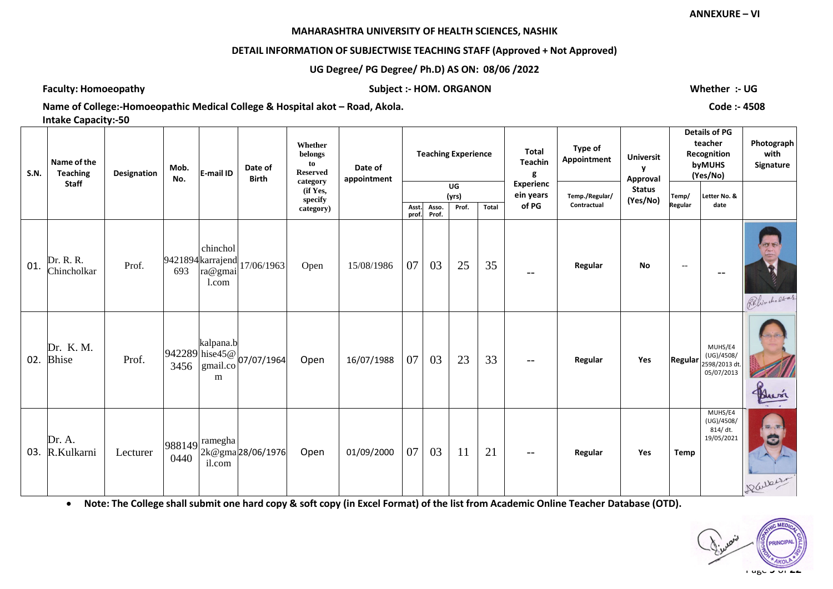# **DETAIL INFORMATION OF SUBJECTWISE TEACHING STAFF (Approved + Not Approved)**

**UG Degree/ PG Degree/ Ph.D) AS ON: 08/06 /2022**

**Faculty: Homoeopathy Subject :- HOM. ORGANON Whether :- UG**

Name of College:-Homoeopathic Medical College & Hospital akot – Road, Akola. Code:- **4508 Code:**- 4508 **Code: Intake Capacity:-50**

| <b>S.N.</b> | Name of the<br><b>Teaching</b> | Designation | Mob.<br>No. | E-mail ID                                         | Date of<br><b>Birth</b>                                                 | Whether<br>belongs<br>to<br><b>Reserved</b> | Date of<br>appointment |                          |             | <b>Teaching Experience</b> |       | <b>Total</b><br><b>Teachin</b><br>g    | Type of<br>Appointment        | <b>Universit</b><br>Approval |                  | <b>Details of PG</b><br>teacher<br>Recognition<br>byMUHS<br>(Yes/No) | Photograph<br>with<br>Signature              |
|-------------|--------------------------------|-------------|-------------|---------------------------------------------------|-------------------------------------------------------------------------|---------------------------------------------|------------------------|--------------------------|-------------|----------------------------|-------|----------------------------------------|-------------------------------|------------------------------|------------------|----------------------------------------------------------------------|----------------------------------------------|
|             | <b>Staff</b>                   |             |             |                                                   |                                                                         | category<br>(if Yes,<br>specify             |                        | Asst.                    | Asso.       | UG<br>(yrs)<br>Prof.       | Total | <b>Experienc</b><br>ein years<br>of PG | Temp./Regular/<br>Contractual | <b>Status</b><br>(Yes/No)    | Temp/<br>Regular | Letter No. &<br>date                                                 |                                              |
| 01.         | Dr. R. R.<br>Chincholkar       | Prof.       | 693         | chinchol<br>9421894 karrajend<br>ra@gmai<br>1.com | 17/06/1963                                                              | category)<br>Open                           | 15/08/1986             | prof.<br>07 <sup>1</sup> | Prof.<br>03 | 25                         | 35    | $-$                                    | Regular                       | No                           | $-\, -$          | $-$                                                                  | <b>CALL</b><br>$f_{\rm max}$<br>Relinchaltar |
| 02.         | Dr. K. M.<br><b>Bhise</b>      | Prof.       |             | kalpana.b<br>m                                    | $\begin{bmatrix} 942289 \\ 3456 \end{bmatrix}$ hise45@<br>3456 gmail.co | Open                                        | 16/07/1988             | 07 <sup>1</sup>          | 03          | 23                         | 33    |                                        | Regular                       | Yes                          | <b>Regular</b>   | MUHS/E4<br>(UG)/4508/<br>2598/2013 dt<br>05/07/2013                  |                                              |
| 03.         | Dr. A.<br>R.Kulkarni           | Lecturer    | 0440        | $ 988149 $ ramegha<br>il.com                      | 2k@gma28/06/1976                                                        | Open                                        | 01/09/2000             | 07 <sup>1</sup>          | 03          | <sup>11</sup>              | 21    |                                        | Regular                       | Yes                          | <b>Temp</b>      | MUHS/E4<br>(UG)/4508/<br>814/dt.<br>19/05/2021                       | <b>REIGHT</b><br>$\mathbf{C}$<br>Darrer      |

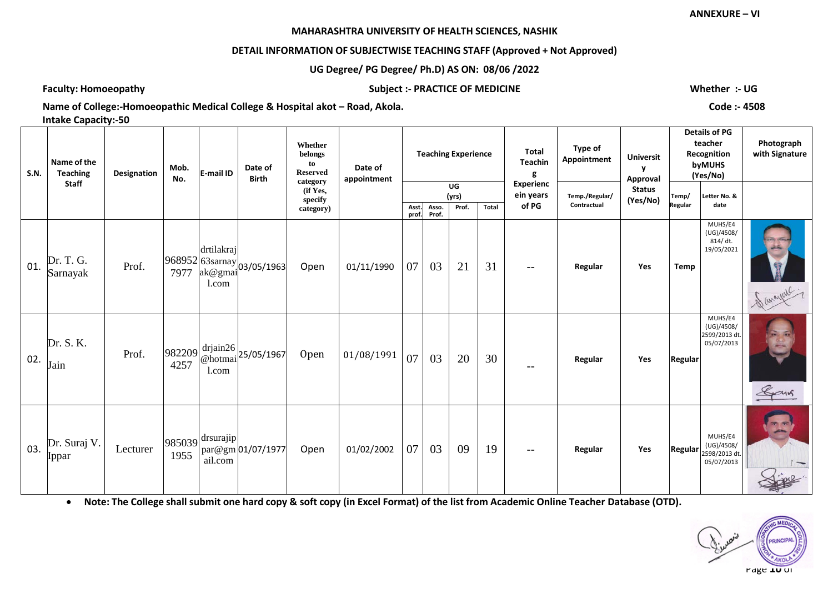# **DETAIL INFORMATION OF SUBJECTWISE TEACHING STAFF (Approved + Not Approved)**

# **UG Degree/ PG Degree/ Ph.D) AS ON: 08/06 /2022**

**Faculty: Homoeopathy Subject :- PRACTICE OF MEDICINE Whether :- UG**

**Name of College:-Homoeopathic Medical College & Hospital akot – Road, Akola. Code :- 4508 Intake Capacity:-50**

| <b>S.N.</b> | Name of the<br><b>Teaching</b> | Designation | Mob.<br>No. | E-mail ID                        | Date of<br><b>Birth</b>                                                                            | Whether<br>belongs<br>to<br><b>Reserved</b><br>category | Date of<br>appointment |                |                | <b>Teaching Experience</b> |       | Total<br><b>Teachin</b><br>g           | Type of<br>Appointment        | <b>Universit</b><br>v<br>Approval |                  | <b>Details of PG</b><br>teacher<br>Recognition<br>byMUHS<br>(Yes/No) | Photograph<br>with Signature |
|-------------|--------------------------------|-------------|-------------|----------------------------------|----------------------------------------------------------------------------------------------------|---------------------------------------------------------|------------------------|----------------|----------------|----------------------------|-------|----------------------------------------|-------------------------------|-----------------------------------|------------------|----------------------------------------------------------------------|------------------------------|
|             | <b>Staff</b>                   |             |             |                                  |                                                                                                    | (if Yes,<br>specify<br>category)                        |                        | Asst.<br>prof. | Asso.<br>Prof. | UG<br>(yrs)<br>Prof.       | Total | <b>Experienc</b><br>ein years<br>of PG | Temp./Regular/<br>Contractual | <b>Status</b><br>(Yes/No)         | Temp/<br>Regular | Letter No. &<br>date                                                 |                              |
| 01.         | Dr. T. G.<br>Sarnayak          | Prof.       |             | drtilakraj<br>1.com              | $\begin{vmatrix} 968952 & 638 & 103 & 05 & 1963 \\ 7977 & 98 & 98 & 103 & 05 & 1963 \end{vmatrix}$ | Open                                                    | 01/11/1990             | 07             | 03             | 21                         | 31    | $- -$                                  | Regular                       | Yes                               | <b>Temp</b>      | MUHS/E4<br>(UG)/4508/<br>814/dt.<br>19/05/2021                       | Savanal 1                    |
| 02.         | Dr. S. K.<br>Jain              | Prof.       | 4257        | l.com                            | $\left  \frac{982209}{4257} \right  \frac{drjain26}{\text{@hotmai}} 25/05/1967$                    | Open                                                    | 01/08/1991             | 07             | 03             | 20                         | 30    |                                        | Regular                       | Yes                               | Regular          | MUHS/E4<br>(UG)/4508/<br>2599/2013 dt<br>05/07/2013                  | Gans                         |
| 03.         | Dr. Suraj V.<br>Ippar          | Lecturer    | 1955        | $ 985039 $ drsurajip <br>ail.com | par@gm 01/07/1977                                                                                  | Open                                                    | 01/02/2002             | 07             | 03             | 09                         | 19    | $--$                                   | Regular                       | Yes                               | Regular          | MUHS/E4<br>(UG)/4508/<br>2598/2013 dt.<br>05/07/2013                 |                              |

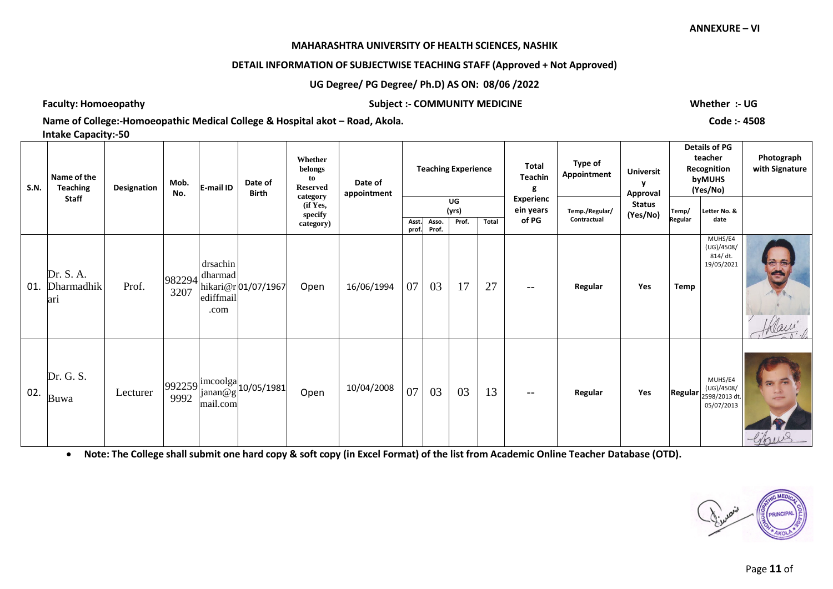#### **MAHARASHTRA UNIVERSITY OF HEALTH SCIENCES, NASHIK**

# **DETAIL INFORMATION OF SUBJECTWISE TEACHING STAFF (Approved + Not Approved)**

# **UG Degree/ PG Degree/ Ph.D) AS ON: 08/06 /2022**

**Faculty: Homoeopathy Subject :- COMMUNITY MEDICINE Whether :- UG**

**Name of College:-Homoeopathic Medical College & Hospital akot – Road, Akola. Code :- 4508** 

**Intake Capacity:-50**

| <b>S.N.</b> | Name of the<br><b>Teaching</b> | Designation | Mob.<br>No. | E-mail ID                                             | Date of<br><b>Birth</b>                                                                | Whether<br>belongs<br>to<br><b>Reserved</b>  | Date of<br>appointment |                |                | <b>Teaching Experience</b> |       | Total<br>Teachin                | Type of<br>Appointment        | <b>Universit</b><br>Approval |                  | <b>Details of PG</b><br>teacher<br>Recognition<br>byMUHS<br>(Yes/No)                         | Photograph<br>with Signature |
|-------------|--------------------------------|-------------|-------------|-------------------------------------------------------|----------------------------------------------------------------------------------------|----------------------------------------------|------------------------|----------------|----------------|----------------------------|-------|---------------------------------|-------------------------------|------------------------------|------------------|----------------------------------------------------------------------------------------------|------------------------------|
|             | <b>Staff</b>                   |             |             |                                                       |                                                                                        | category<br>(if Yes,<br>specify<br>category) |                        | Asst.<br>prof. | Asso.<br>Prof. | UG<br>(yrs)<br>Prof.       | Total | Experienc<br>ein years<br>of PG | Temp./Regular/<br>Contractual | <b>Status</b><br>(Yes/No)    | Temp/<br>Regular | Letter No. &<br>date                                                                         |                              |
| 01.         | Dr. S. A.<br>Dharmadhik<br>ari | Prof.       | 3207        | drsachin<br>$ 982294 $ dharmad  <br>ediffmail<br>.com | hikari@r 01/07/1967                                                                    | Open                                         | 16/06/1994             | 07             | 03             | 17                         | 27    | $- -$                           | Regular                       | Yes                          | Temp             | MUHS/E4<br>(UG)/4508/<br>814/ dt.<br>19/05/2021                                              |                              |
| 02.         | Dr. G. S.<br>Buwa              | Lecturer    | 9992        | mail.com                                              | $\left  \frac{992259}{9002} \right  \frac{\text{imcoolga}}{\text{janan@g}}$ 10/05/1981 | Open                                         | 10/04/2008             | 07             | 03             | 03                         | 13    | $- -$                           | Regular                       | Yes                          |                  | MUHS/E4<br>(UG)/4508/<br>$\left \text{Regular}\right _{2598/2013 \text{ dt.}}$<br>05/07/2013 | libus                        |

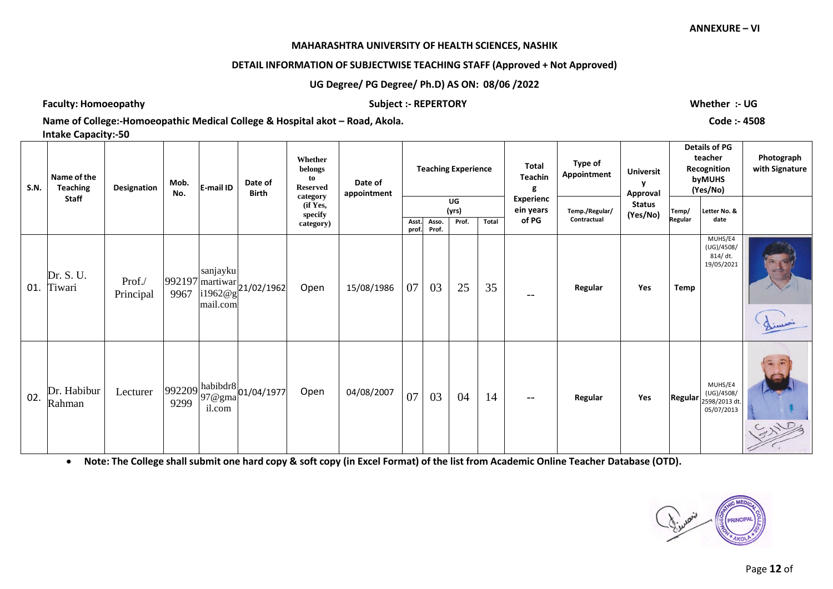#### **MAHARASHTRA UNIVERSITY OF HEALTH SCIENCES, NASHIK**

# **DETAIL INFORMATION OF SUBJECTWISE TEACHING STAFF (Approved + Not Approved)**

# **UG Degree/ PG Degree/ Ph.D) AS ON: 08/06 /2022**

**Faculty: Homoeopathy Subject :- REPERTORY Whether :- UG**

**Name of College:-Homoeopathic Medical College & Hospital akot – Road, Akola. Code :- 4508** 

**Intake Capacity:-50**

| <b>S.N.</b> | Name of the<br><b>Teaching</b> | Designation         | Mob.<br>No. | E-mail ID            | Date of<br><b>Birth</b>                                                                                     | Whether<br>belongs<br>to<br><b>Reserved</b><br>category | Date of<br>appointment |               |                | <b>Teaching Experience</b> |       | <b>Total</b><br><b>Teachin</b><br>g | Type of<br>Appointment        | <b>Universit</b><br>v<br>Approval |                  | Details of PG<br>teacher<br>Recognition<br>byMUHS<br>(Yes/No) | Photograph<br>with Signature |
|-------------|--------------------------------|---------------------|-------------|----------------------|-------------------------------------------------------------------------------------------------------------|---------------------------------------------------------|------------------------|---------------|----------------|----------------------------|-------|-------------------------------------|-------------------------------|-----------------------------------|------------------|---------------------------------------------------------------|------------------------------|
|             | <b>Staff</b>                   |                     |             |                      |                                                                                                             | (if Yes,<br>specify                                     |                        |               |                | UG<br>(yrs)                |       | <b>Experienc</b><br>ein years       | Temp./Regular/<br>Contractual | <b>Status</b><br>(Yes/No)         | Temp/<br>Regular | Letter No. &<br>date                                          |                              |
|             |                                |                     |             |                      |                                                                                                             | category)                                               |                        | Asst<br>prof. | Asso.<br>Prof. | Prof.                      | Total | of PG                               |                               |                                   |                  |                                                               |                              |
| 01.         | Dr. S. U.<br>Tiwari            | Prof./<br>Principal |             | sanjayku<br>mail.com | 992197 martiwar 21/02/1962                                                                                  | Open                                                    | 15/08/1986             | 07            | 03             | 25                         | 35    | --                                  | Regular                       | Yes                               | <b>Temp</b>      | MUHS/E4<br>(UG)/4508/<br>814/dt.<br>19/05/2021                | Limari                       |
| 02.         | Dr. Habibur<br>Rahman          | Lecturer            | 9299        | il.com               | $992209 \begin{array}{ l l } \hline \text{habibdr} & 01/04/1977 \\ 97 @\text{gma} & 01/04/1977 \end{array}$ | Open                                                    | 04/08/2007             | 07            | 03             | 04                         | 14    | $\qquad \qquad -$                   | Regular                       | Yes                               | <b>Regular</b>   | MUHS/E4<br>(UG)/4508/<br>2598/2013 dt.<br>05/07/2013          |                              |